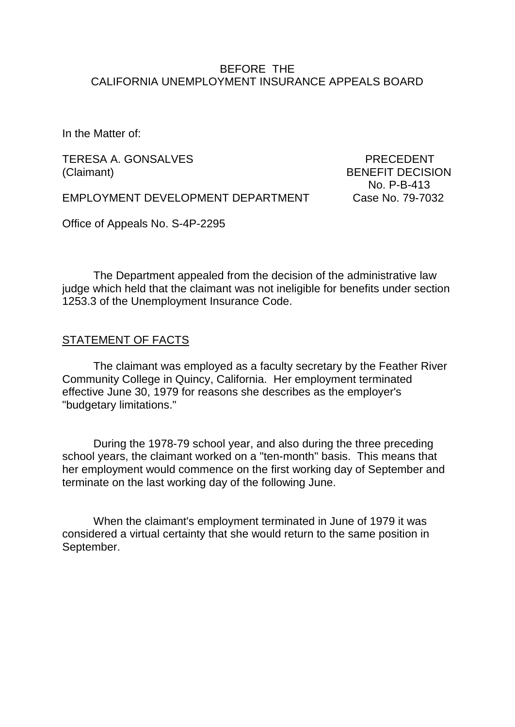### BEFORE THE CALIFORNIA UNEMPLOYMENT INSURANCE APPEALS BOARD

In the Matter of:

TERESA A. GONSALVES PRECEDENT (Claimant) BENEFIT DECISION

No. P-B-413

EMPLOYMENT DEVELOPMENT DEPARTMENT Case No. 79-7032

Office of Appeals No. S-4P-2295

The Department appealed from the decision of the administrative law judge which held that the claimant was not ineligible for benefits under section 1253.3 of the Unemployment Insurance Code.

#### STATEMENT OF FACTS

The claimant was employed as a faculty secretary by the Feather River Community College in Quincy, California. Her employment terminated effective June 30, 1979 for reasons she describes as the employer's "budgetary limitations."

During the 1978-79 school year, and also during the three preceding school years, the claimant worked on a "ten-month" basis. This means that her employment would commence on the first working day of September and terminate on the last working day of the following June.

When the claimant's employment terminated in June of 1979 it was considered a virtual certainty that she would return to the same position in September.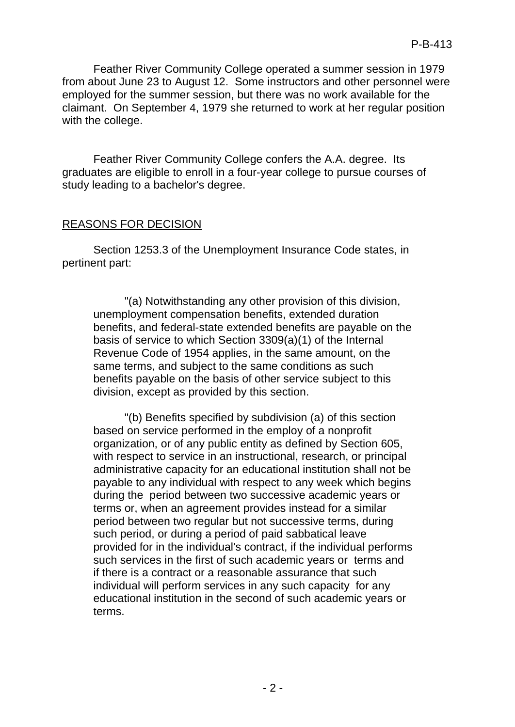Feather River Community College operated a summer session in 1979 from about June 23 to August 12. Some instructors and other personnel were employed for the summer session, but there was no work available for the claimant. On September 4, 1979 she returned to work at her regular position with the college.

Feather River Community College confers the A.A. degree. Its graduates are eligible to enroll in a four-year college to pursue courses of study leading to a bachelor's degree.

#### REASONS FOR DECISION

Section 1253.3 of the Unemployment Insurance Code states, in pertinent part:

"(a) Notwithstanding any other provision of this division, unemployment compensation benefits, extended duration benefits, and federal-state extended benefits are payable on the basis of service to which Section 3309(a)(1) of the Internal Revenue Code of 1954 applies, in the same amount, on the same terms, and subject to the same conditions as such benefits payable on the basis of other service subject to this division, except as provided by this section.

"(b) Benefits specified by subdivision (a) of this section based on service performed in the employ of a nonprofit organization, or of any public entity as defined by Section 605, with respect to service in an instructional, research, or principal administrative capacity for an educational institution shall not be payable to any individual with respect to any week which begins during the period between two successive academic years or terms or, when an agreement provides instead for a similar period between two regular but not successive terms, during such period, or during a period of paid sabbatical leave provided for in the individual's contract, if the individual performs such services in the first of such academic years or terms and if there is a contract or a reasonable assurance that such individual will perform services in any such capacity for any educational institution in the second of such academic years or terms.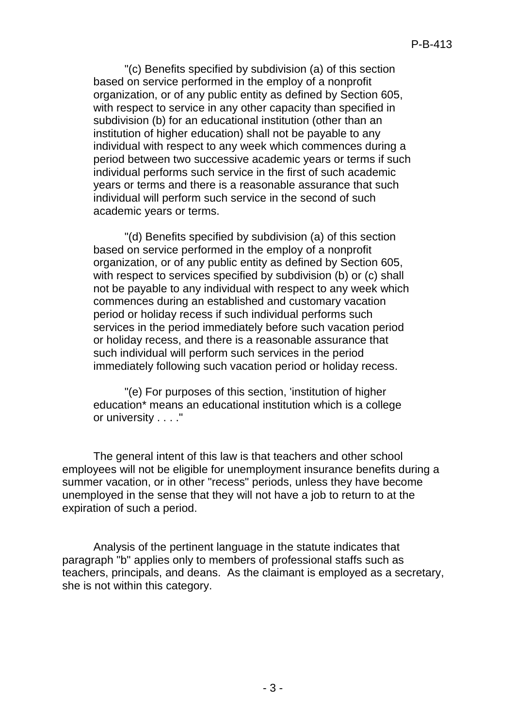"(c) Benefits specified by subdivision (a) of this section based on service performed in the employ of a nonprofit organization, or of any public entity as defined by Section 605, with respect to service in any other capacity than specified in subdivision (b) for an educational institution (other than an institution of higher education) shall not be payable to any individual with respect to any week which commences during a period between two successive academic years or terms if such individual performs such service in the first of such academic years or terms and there is a reasonable assurance that such individual will perform such service in the second of such academic years or terms.

"(d) Benefits specified by subdivision (a) of this section based on service performed in the employ of a nonprofit organization, or of any public entity as defined by Section 605, with respect to services specified by subdivision (b) or (c) shall not be payable to any individual with respect to any week which commences during an established and customary vacation period or holiday recess if such individual performs such services in the period immediately before such vacation period or holiday recess, and there is a reasonable assurance that such individual will perform such services in the period immediately following such vacation period or holiday recess.

"(e) For purposes of this section, 'institution of higher education\* means an educational institution which is a college or university . . . ."

The general intent of this law is that teachers and other school employees will not be eligible for unemployment insurance benefits during a summer vacation, or in other "recess" periods, unless they have become unemployed in the sense that they will not have a job to return to at the expiration of such a period.

Analysis of the pertinent language in the statute indicates that paragraph "b" applies only to members of professional staffs such as teachers, principals, and deans. As the claimant is employed as a secretary, she is not within this category.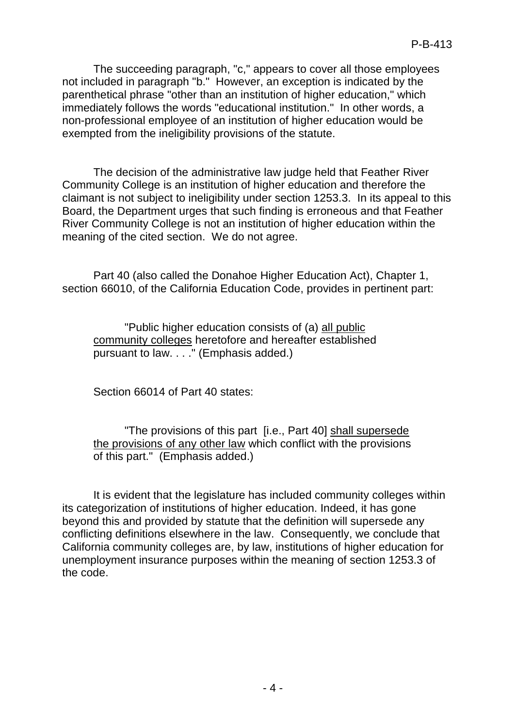The succeeding paragraph, "c," appears to cover all those employees not included in paragraph "b." However, an exception is indicated by the parenthetical phrase "other than an institution of higher education," which immediately follows the words "educational institution." In other words, a non-professional employee of an institution of higher education would be exempted from the ineligibility provisions of the statute.

The decision of the administrative law judge held that Feather River Community College is an institution of higher education and therefore the claimant is not subject to ineligibility under section 1253.3. In its appeal to this Board, the Department urges that such finding is erroneous and that Feather River Community College is not an institution of higher education within the meaning of the cited section. We do not agree.

Part 40 (also called the Donahoe Higher Education Act), Chapter 1, section 66010, of the California Education Code, provides in pertinent part:

"Public higher education consists of (a) all public community colleges heretofore and hereafter established pursuant to law. . . ." (Emphasis added.)

Section 66014 of Part 40 states:

"The provisions of this part [i.e., Part 40] shall supersede the provisions of any other law which conflict with the provisions of this part." (Emphasis added.)

It is evident that the legislature has included community colleges within its categorization of institutions of higher education. Indeed, it has gone beyond this and provided by statute that the definition will supersede any conflicting definitions elsewhere in the law. Consequently, we conclude that California community colleges are, by law, institutions of higher education for unemployment insurance purposes within the meaning of section 1253.3 of the code.